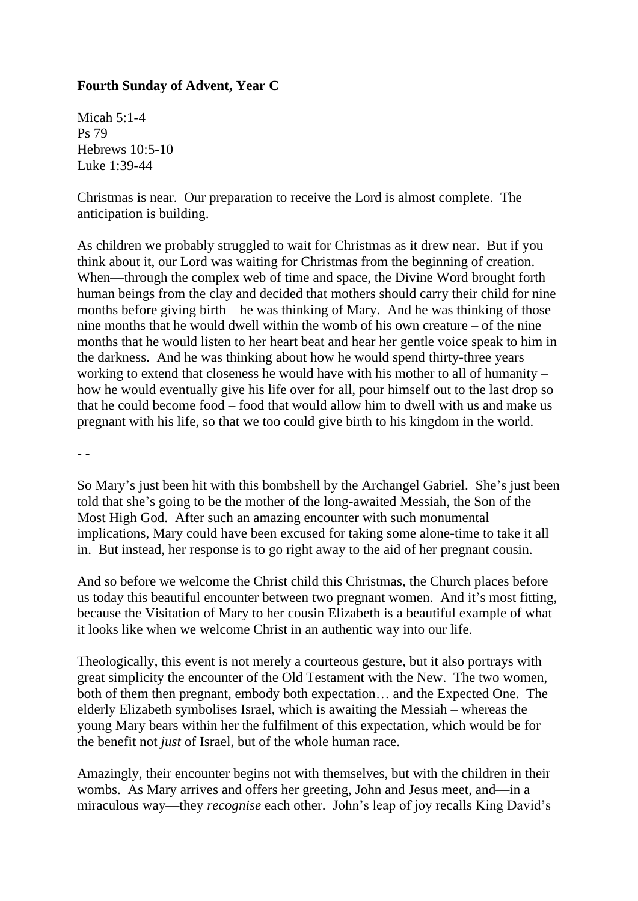## **Fourth Sunday of Advent, Year C**

Micah 5:1-4 Ps 79 Hebrews 10:5-10 Luke 1:39-44

Christmas is near. Our preparation to receive the Lord is almost complete. The anticipation is building.

As children we probably struggled to wait for Christmas as it drew near. But if you think about it, our Lord was waiting for Christmas from the beginning of creation. When—through the complex web of time and space, the Divine Word brought forth human beings from the clay and decided that mothers should carry their child for nine months before giving birth—he was thinking of Mary. And he was thinking of those nine months that he would dwell within the womb of his own creature – of the nine months that he would listen to her heart beat and hear her gentle voice speak to him in the darkness. And he was thinking about how he would spend thirty-three years working to extend that closeness he would have with his mother to all of humanity – how he would eventually give his life over for all, pour himself out to the last drop so that he could become food – food that would allow him to dwell with us and make us pregnant with his life, so that we too could give birth to his kingdom in the world.

- -

So Mary's just been hit with this bombshell by the Archangel Gabriel. She's just been told that she's going to be the mother of the long-awaited Messiah, the Son of the Most High God. After such an amazing encounter with such monumental implications, Mary could have been excused for taking some alone-time to take it all in. But instead, her response is to go right away to the aid of her pregnant cousin.

And so before we welcome the Christ child this Christmas, the Church places before us today this beautiful encounter between two pregnant women. And it's most fitting, because the Visitation of Mary to her cousin Elizabeth is a beautiful example of what it looks like when we welcome Christ in an authentic way into our life.

Theologically, this event is not merely a courteous gesture, but it also portrays with great simplicity the encounter of the Old Testament with the New. The two women, both of them then pregnant, embody both expectation… and the Expected One. The elderly Elizabeth symbolises Israel, which is awaiting the Messiah – whereas the young Mary bears within her the fulfilment of this expectation, which would be for the benefit not *just* of Israel, but of the whole human race.

Amazingly, their encounter begins not with themselves, but with the children in their wombs. As Mary arrives and offers her greeting, John and Jesus meet, and—in a miraculous way—they *recognise* each other. John's leap of joy recalls King David's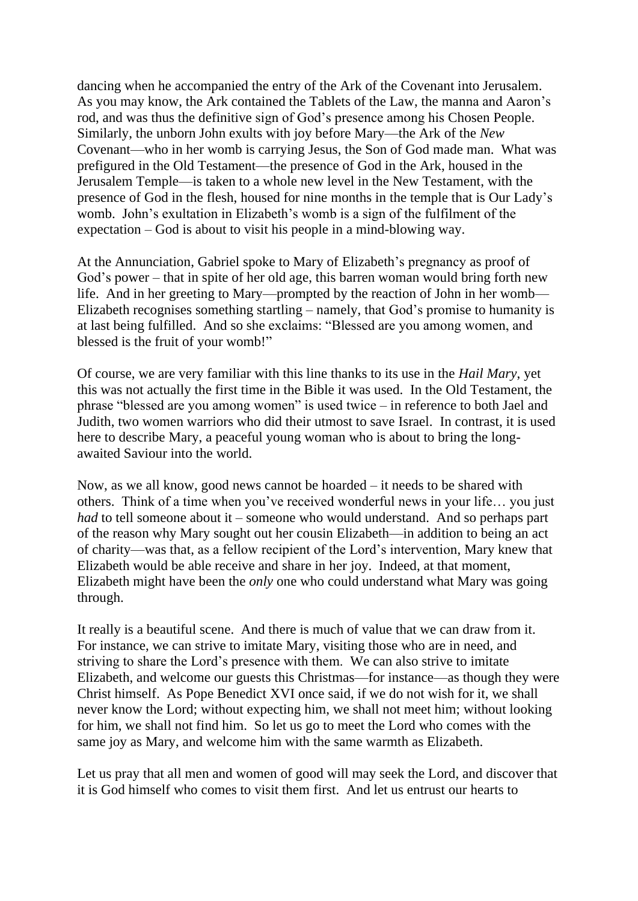dancing when he accompanied the entry of the Ark of the Covenant into Jerusalem. As you may know, the Ark contained the Tablets of the Law, the manna and Aaron's rod, and was thus the definitive sign of God's presence among his Chosen People. Similarly, the unborn John exults with joy before Mary—the Ark of the *New* Covenant—who in her womb is carrying Jesus, the Son of God made man. What was prefigured in the Old Testament—the presence of God in the Ark, housed in the Jerusalem Temple—is taken to a whole new level in the New Testament, with the presence of God in the flesh, housed for nine months in the temple that is Our Lady's womb. John's exultation in Elizabeth's womb is a sign of the fulfilment of the expectation – God is about to visit his people in a mind-blowing way.

At the Annunciation, Gabriel spoke to Mary of Elizabeth's pregnancy as proof of God's power – that in spite of her old age, this barren woman would bring forth new life. And in her greeting to Mary—prompted by the reaction of John in her womb— Elizabeth recognises something startling – namely, that God's promise to humanity is at last being fulfilled. And so she exclaims: "Blessed are you among women, and blessed is the fruit of your womb!"

Of course, we are very familiar with this line thanks to its use in the *Hail Mary*, yet this was not actually the first time in the Bible it was used. In the Old Testament, the phrase "blessed are you among women" is used twice – in reference to both Jael and Judith, two women warriors who did their utmost to save Israel. In contrast, it is used here to describe Mary, a peaceful young woman who is about to bring the longawaited Saviour into the world.

Now, as we all know, good news cannot be hoarded – it needs to be shared with others. Think of a time when you've received wonderful news in your life… you just *had* to tell someone about it – someone who would understand. And so perhaps part of the reason why Mary sought out her cousin Elizabeth—in addition to being an act of charity—was that, as a fellow recipient of the Lord's intervention, Mary knew that Elizabeth would be able receive and share in her joy. Indeed, at that moment, Elizabeth might have been the *only* one who could understand what Mary was going through.

It really is a beautiful scene. And there is much of value that we can draw from it. For instance, we can strive to imitate Mary, visiting those who are in need, and striving to share the Lord's presence with them. We can also strive to imitate Elizabeth, and welcome our guests this Christmas—for instance—as though they were Christ himself. As Pope Benedict XVI once said, if we do not wish for it, we shall never know the Lord; without expecting him, we shall not meet him; without looking for him, we shall not find him. So let us go to meet the Lord who comes with the same joy as Mary, and welcome him with the same warmth as Elizabeth.

Let us pray that all men and women of good will may seek the Lord, and discover that it is God himself who comes to visit them first. And let us entrust our hearts to